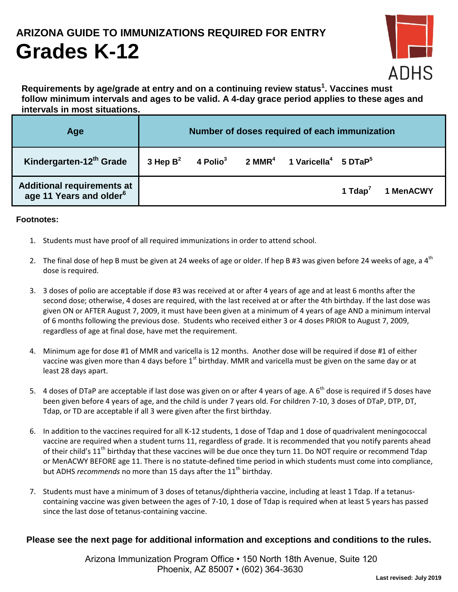### **ARIZONA GUIDE TO IMMUNIZATIONS REQUIRED FOR ENTRY**

# **Grades K-12**



**Requirements by age/grade at entry and on a continuing review status<sup>1</sup> . Vaccines must follow minimum intervals and ages to be valid. A 4-day grace period applies to these ages and intervals in most situations.**

| Age                                                               | Number of doses required of each immunization |  |  |                                                                                                  |            |           |
|-------------------------------------------------------------------|-----------------------------------------------|--|--|--------------------------------------------------------------------------------------------------|------------|-----------|
| Kindergarten-12 <sup>th</sup> Grade                               |                                               |  |  | 3 Hep $B^2$ 4 Polio <sup>3</sup> 2 MMR <sup>4</sup> 1 Varicella <sup>4</sup> 5 DTaP <sup>5</sup> |            |           |
| Additional requirements at<br>age 11 Years and older <sup>6</sup> |                                               |  |  |                                                                                                  | 1 Tdap $'$ | 1 MenACWY |

#### **Footnotes:**

- 1. Students must have proof of all required immunizations in order to attend school.
- 2. The final dose of hep B must be given at 24 weeks of age or older. If hep B #3 was given before 24 weeks of age, a  $4<sup>th</sup>$ dose is required.
- 3. 3 doses of polio are acceptable if dose #3 was received at or after 4 years of age and at least 6 months after the second dose; otherwise, 4 doses are required, with the last received at or after the 4th birthday. If the last dose was given ON or AFTER August 7, 2009, it must have been given at a minimum of 4 years of age AND a minimum interval of 6 months following the previous dose. Students who received either 3 or 4 doses PRIOR to August 7, 2009, regardless of age at final dose, have met the requirement.
- 4. Minimum age for dose #1 of MMR and varicella is 12 months. Another dose will be required if dose #1 of either vaccine was given more than 4 days before 1<sup>st</sup> birthday. MMR and varicella must be given on the same day or at least 28 days apart.
- 5. 4 doses of DTaP are acceptable if last dose was given on or after 4 years of age. A  $6<sup>th</sup>$  dose is required if 5 doses have been given before 4 years of age, and the child is under 7 years old. For children 7-10, 3 doses of DTaP, DTP, DT, Tdap, or TD are acceptable if all 3 were given after the first birthday.
- 6. In addition to the vaccines required for all K-12 students, 1 dose of Tdap and 1 dose of quadrivalent meningococcal vaccine are required when a student turns 11, regardless of grade. It is recommended that you notify parents ahead of their child's  $11<sup>th</sup>$  birthday that these vaccines will be due once they turn 11. Do NOT require or recommend Tdap or MenACWY BEFORE age 11. There is no statute-defined time period in which students must come into compliance, but ADHS *recommends* no more than 15 days after the 11<sup>th</sup> birthday.
- 7. Students must have a minimum of 3 doses of tetanus/diphtheria vaccine, including at least 1 Tdap. If a tetanuscontaining vaccine was given between the ages of 7-10, 1 dose of Tdap is required when at least 5 years has passed since the last dose of tetanus-containing vaccine.

#### **Please see the next page for additional information and exceptions and conditions to the rules.**

 Arizona Immunization Program Office • 150 North 18th Avenue, Suite 120 Phoenix, AZ 85007 • (602) 364-3630